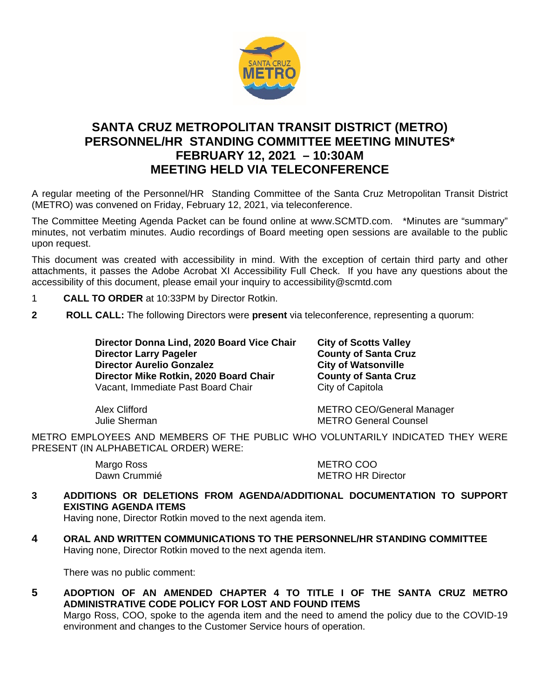

# **SANTA CRUZ METROPOLITAN TRANSIT DISTRICT (METRO) PERSONNEL/HR STANDING COMMITTEE MEETING MINUTES\* FEBRUARY 12, 2021 – 10:30AM MEETING HELD VIA TELECONFERENCE**

A regular meeting of the Personnel/HR Standing Committee of the Santa Cruz Metropolitan Transit District (METRO) was convened on Friday, February 12, 2021, via teleconference.

The Committee Meeting Agenda Packet can be found online at www.SCMTD.com. \*Minutes are "summary" minutes, not verbatim minutes. Audio recordings of Board meeting open sessions are available to the public upon request.

This document was created with accessibility in mind. With the exception of certain third party and other attachments, it passes the Adobe Acrobat XI Accessibility Full Check. If you have any questions about the accessibility of this document, please email your inquiry to accessibility@scmtd.com

- 1 **CALL TO ORDER** at 10:33PM by Director Rotkin.
- **2 ROLL CALL:** The following Directors were **present** via teleconference, representing a quorum:

**Director Donna Lind, 2020 Board Vice Chair City of Scotts Valley Director Larry Pageler County of Santa Cric County of Santa Cric Property County of Santa Cric Property City of Watsonville Director Aurelio Gonzalez City of Watsonville<br>Director Mike Rotkin, 2020 Board Chair County of Santa Cruz Director Mike Rotkin, 2020 Board Chair County of Sant<br>
Vacant, Immediate Past Board Chair City of Capitola** Vacant, Immediate Past Board Chair

Alex Clifford **METRO CEO/General Manager**<br>
Unlie Sherman METRO General Counsel **METRO General Counsel** 

METRO EMPLOYEES AND MEMBERS OF THE PUBLIC WHO VOLUNTARILY INDICATED THEY WERE PRESENT (IN ALPHABETICAL ORDER) WERE:

Margo Ross METRO COO

**METRO HR Director** 

**3 ADDITIONS OR DELETIONS FROM AGENDA/ADDITIONAL DOCUMENTATION TO SUPPORT EXISTING AGENDA ITEMS** 

Having none, Director Rotkin moved to the next agenda item.

**4 ORAL AND WRITTEN COMMUNICATIONS TO THE PERSONNEL/HR STANDING COMMITTEE**  Having none, Director Rotkin moved to the next agenda item.

There was no public comment:

**5 ADOPTION OF AN AMENDED CHAPTER 4 TO TITLE I OF THE SANTA CRUZ METRO ADMINISTRATIVE CODE POLICY FOR LOST AND FOUND ITEMS** 

Margo Ross, COO, spoke to the agenda item and the need to amend the policy due to the COVID-19 environment and changes to the Customer Service hours of operation.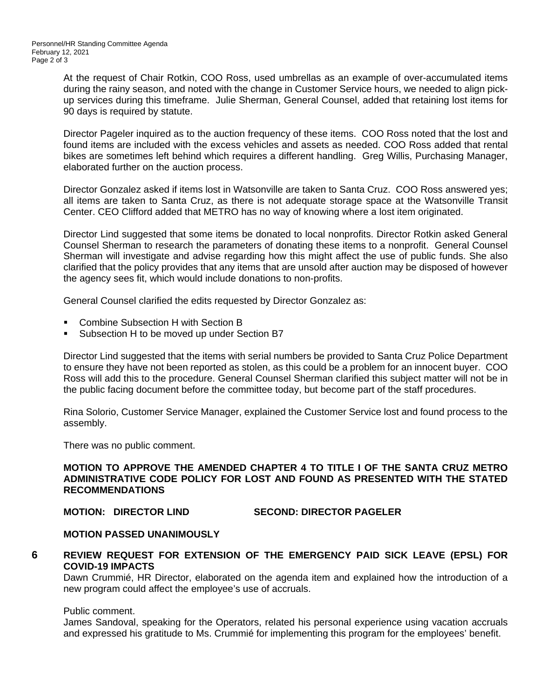At the request of Chair Rotkin, COO Ross, used umbrellas as an example of over-accumulated items during the rainy season, and noted with the change in Customer Service hours, we needed to align pickup services during this timeframe. Julie Sherman, General Counsel, added that retaining lost items for 90 days is required by statute.

Director Pageler inquired as to the auction frequency of these items. COO Ross noted that the lost and found items are included with the excess vehicles and assets as needed. COO Ross added that rental bikes are sometimes left behind which requires a different handling. Greg Willis, Purchasing Manager, elaborated further on the auction process.

Director Gonzalez asked if items lost in Watsonville are taken to Santa Cruz. COO Ross answered yes; all items are taken to Santa Cruz, as there is not adequate storage space at the Watsonville Transit Center. CEO Clifford added that METRO has no way of knowing where a lost item originated.

Director Lind suggested that some items be donated to local nonprofits. Director Rotkin asked General Counsel Sherman to research the parameters of donating these items to a nonprofit. General Counsel Sherman will investigate and advise regarding how this might affect the use of public funds. She also clarified that the policy provides that any items that are unsold after auction may be disposed of however the agency sees fit, which would include donations to non-profits.

General Counsel clarified the edits requested by Director Gonzalez as:

- Combine Subsection H with Section B
- Subsection H to be moved up under Section B7

Director Lind suggested that the items with serial numbers be provided to Santa Cruz Police Department to ensure they have not been reported as stolen, as this could be a problem for an innocent buyer. COO Ross will add this to the procedure. General Counsel Sherman clarified this subject matter will not be in the public facing document before the committee today, but become part of the staff procedures.

Rina Solorio, Customer Service Manager, explained the Customer Service lost and found process to the assembly.

There was no public comment.

## **MOTION TO APPROVE THE AMENDED CHAPTER 4 TO TITLE I OF THE SANTA CRUZ METRO ADMINISTRATIVE CODE POLICY FOR LOST AND FOUND AS PRESENTED WITH THE STATED RECOMMENDATIONS**

# **MOTION: DIRECTOR LIND SECOND: DIRECTOR PAGELER**

#### **MOTION PASSED UNANIMOUSLY**

**6 REVIEW REQUEST FOR EXTENSION OF THE EMERGENCY PAID SICK LEAVE (EPSL) FOR COVID-19 IMPACTS** 

Dawn Crummié, HR Director, elaborated on the agenda item and explained how the introduction of a new program could affect the employee's use of accruals.

#### Public comment.

James Sandoval, speaking for the Operators, related his personal experience using vacation accruals and expressed his gratitude to Ms. Crummié for implementing this program for the employees' benefit.